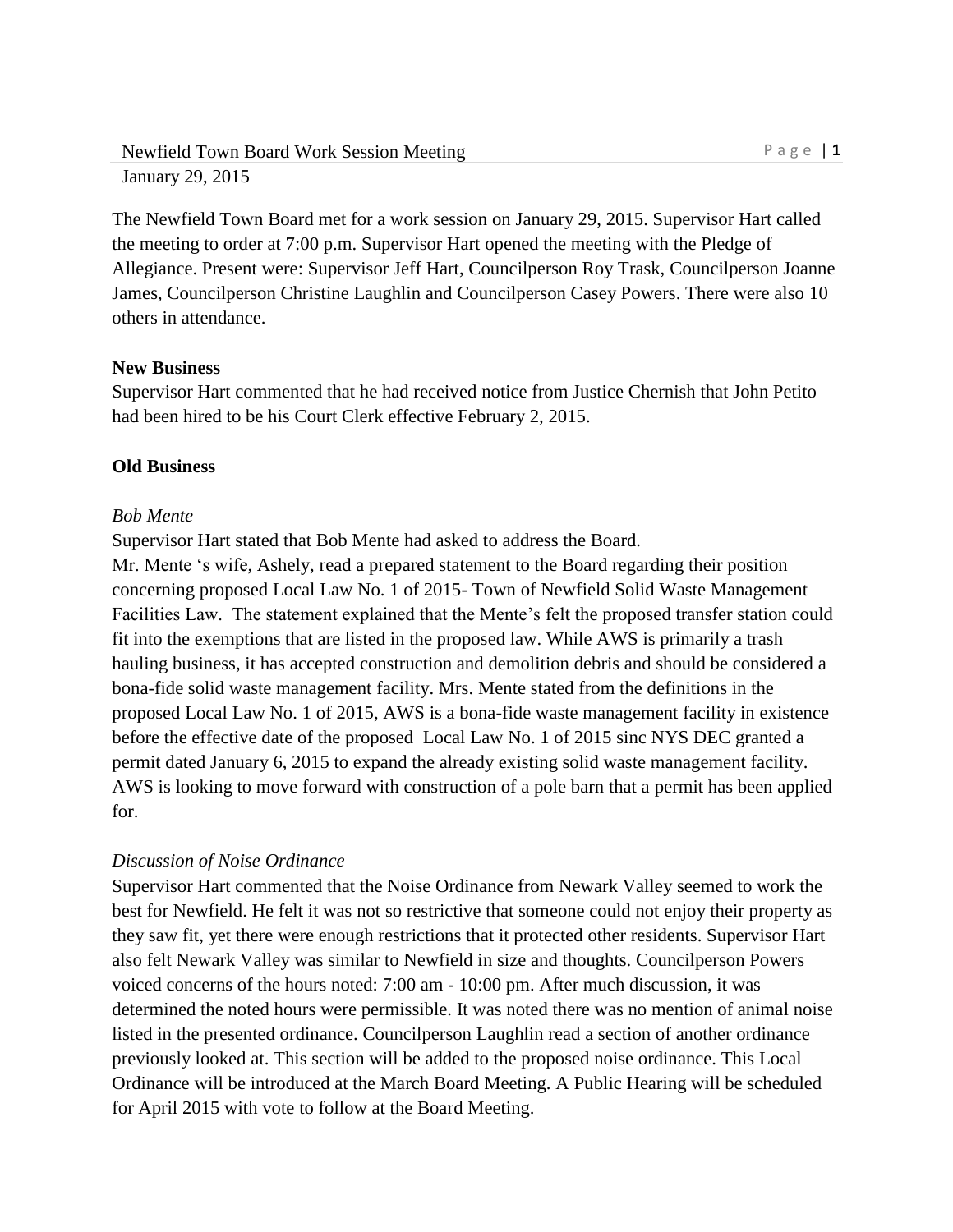The Newfield Town Board met for a work session on January 29, 2015. Supervisor Hart called the meeting to order at 7:00 p.m. Supervisor Hart opened the meeting with the Pledge of Allegiance. Present were: Supervisor Jeff Hart, Councilperson Roy Trask, Councilperson Joanne James, Councilperson Christine Laughlin and Councilperson Casey Powers. There were also 10 others in attendance.

## **New Business**

Supervisor Hart commented that he had received notice from Justice Chernish that John Petito had been hired to be his Court Clerk effective February 2, 2015.

## **Old Business**

#### *Bob Mente*

Supervisor Hart stated that Bob Mente had asked to address the Board.

Mr. Mente 's wife, Ashely, read a prepared statement to the Board regarding their position concerning proposed Local Law No. 1 of 2015- Town of Newfield Solid Waste Management Facilities Law. The statement explained that the Mente's felt the proposed transfer station could fit into the exemptions that are listed in the proposed law. While AWS is primarily a trash hauling business, it has accepted construction and demolition debris and should be considered a bona-fide solid waste management facility. Mrs. Mente stated from the definitions in the proposed Local Law No. 1 of 2015, AWS is a bona-fide waste management facility in existence before the effective date of the proposed Local Law No. 1 of 2015 sinc NYS DEC granted a permit dated January 6, 2015 to expand the already existing solid waste management facility. AWS is looking to move forward with construction of a pole barn that a permit has been applied for.

## *Discussion of Noise Ordinance*

Supervisor Hart commented that the Noise Ordinance from Newark Valley seemed to work the best for Newfield. He felt it was not so restrictive that someone could not enjoy their property as they saw fit, yet there were enough restrictions that it protected other residents. Supervisor Hart also felt Newark Valley was similar to Newfield in size and thoughts. Councilperson Powers voiced concerns of the hours noted: 7:00 am - 10:00 pm. After much discussion, it was determined the noted hours were permissible. It was noted there was no mention of animal noise listed in the presented ordinance. Councilperson Laughlin read a section of another ordinance previously looked at. This section will be added to the proposed noise ordinance. This Local Ordinance will be introduced at the March Board Meeting. A Public Hearing will be scheduled for April 2015 with vote to follow at the Board Meeting.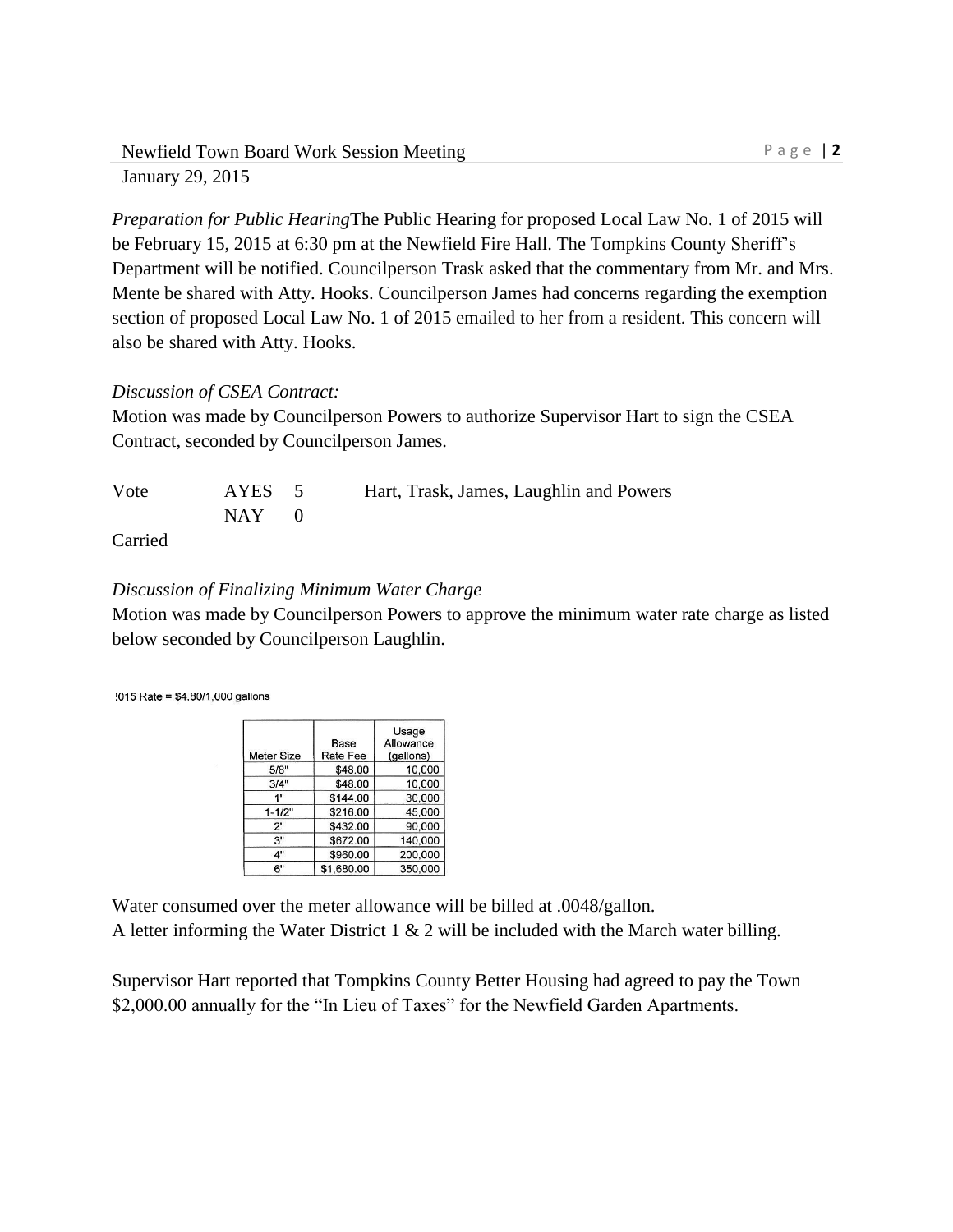*Preparation for Public Hearing*The Public Hearing for proposed Local Law No. 1 of 2015 will be February 15, 2015 at 6:30 pm at the Newfield Fire Hall. The Tompkins County Sheriff's Department will be notified. Councilperson Trask asked that the commentary from Mr. and Mrs. Mente be shared with Atty. Hooks. Councilperson James had concerns regarding the exemption section of proposed Local Law No. 1 of 2015 emailed to her from a resident. This concern will also be shared with Atty. Hooks.

# *Discussion of CSEA Contract:*

Motion was made by Councilperson Powers to authorize Supervisor Hart to sign the CSEA Contract, seconded by Councilperson James.

| Vote       | AYES 5  | Hart, Trask, James, Laughlin and Powers |
|------------|---------|-----------------------------------------|
|            | $NAY$ 0 |                                         |
| $C$ arriad |         |                                         |

Carried

# *Discussion of Finalizing Minimum Water Charge*

Motion was made by Councilperson Powers to approve the minimum water rate charge as listed below seconded by Councilperson Laughlin.

!015 Rate = \$4.80/1,000 gallons

| <b>Meter Size</b> | Base<br>Rate Fee | Usage<br>Allowance<br>(gallons) |
|-------------------|------------------|---------------------------------|
| 5/8"              | \$48.00          | 10,000                          |
| 3/4"              | \$48.00          | 10,000                          |
| 1"                | \$144.00         | 30,000                          |
| $1 - 1/2"$        | \$216.00         | 45,000                          |
| 2"                | \$432.00         | 90.000                          |
| 3"                | \$672.00         | 140,000                         |
| 4"                | \$960.00         | 200,000                         |
| 6"                | \$1,680.00       | 350,000                         |

Water consumed over the meter allowance will be billed at .0048/gallon. A letter informing the Water District 1  $\&$  2 will be included with the March water billing.

Supervisor Hart reported that Tompkins County Better Housing had agreed to pay the Town \$2,000.00 annually for the "In Lieu of Taxes" for the Newfield Garden Apartments.